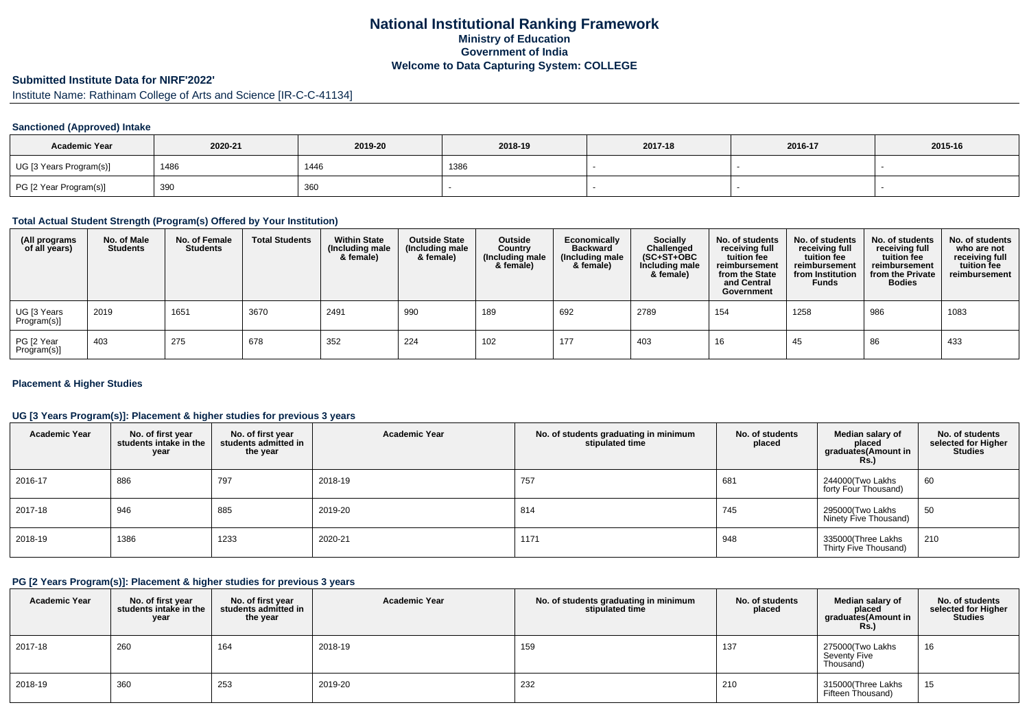## **National Institutional Ranking FrameworkMinistry of Education Government of IndiaWelcome to Data Capturing System: COLLEGE**

# **Submitted Institute Data for NIRF'2022'**

Institute Name: Rathinam College of Arts and Science [IR-C-C-41134]

## **Sanctioned (Approved) Intake**

| <b>Academic Year</b>    | 2020-21 | 2019-20 | 2018-19 | 2017-18 | 2016-17 | 2015-16 |
|-------------------------|---------|---------|---------|---------|---------|---------|
| UG [3 Years Program(s)] | 1486    | 1446    | 1386    |         |         |         |
| PG [2 Year Program(s)]  | 390     | 360     |         |         |         |         |

## **Total Actual Student Strength (Program(s) Offered by Your Institution)**

| (All programs<br>of all years) | No. of Male<br><b>Students</b> | No. of Female<br>Students | <b>Total Students</b> | <b>Within State</b><br>(Including male<br>& female) | <b>Outside State</b><br>(Including male<br>& female) | Outside<br>Country<br>(Including male<br>& female) | Economically<br><b>Backward</b><br>(Including male<br>& female) | Socially<br>Challenged<br>$(SC+ST+OBC)$<br>Including male<br>& female) | No. of students<br>receiving full<br>tuition fee<br>reimbursement<br>from the State<br>and Central<br>Government | No. of students<br>receiving full<br>tuition fee<br>reimbursement<br>from Institution<br><b>Funds</b> | No. of students<br>receiving full<br>tuition fee<br>reimbursement<br>from the Private<br><b>Bodies</b> | No. of students<br>who are not<br>receiving full<br>tuition fee<br>reimbursement |
|--------------------------------|--------------------------------|---------------------------|-----------------------|-----------------------------------------------------|------------------------------------------------------|----------------------------------------------------|-----------------------------------------------------------------|------------------------------------------------------------------------|------------------------------------------------------------------------------------------------------------------|-------------------------------------------------------------------------------------------------------|--------------------------------------------------------------------------------------------------------|----------------------------------------------------------------------------------|
| UG [3 Years<br>Program(s)]     | 2019                           | 1651                      | 3670                  | 2491                                                | 990                                                  | 189                                                | 692                                                             | 2789                                                                   | 154                                                                                                              | 1258                                                                                                  | 986                                                                                                    | 1083                                                                             |
| PG [2 Year<br>Program(s)]      | 403                            | 275                       | 678                   | 352                                                 | 224                                                  | 102                                                | 177                                                             | 403                                                                    | 16                                                                                                               | 45                                                                                                    | 86                                                                                                     | 433                                                                              |

## **Placement & Higher Studies**

## **UG [3 Years Program(s)]: Placement & higher studies for previous 3 years**

| <b>Academic Year</b> | No. of first year<br>students intake in the<br>year | No. of first year<br>students admitted in<br>the year | <b>Academic Year</b> | No. of students graduating in minimum<br>stipulated time | No. of students<br>placed | Median salary of<br>placed<br>graduates(Amount in<br>Rs.) | No. of students<br>selected for Higher<br><b>Studies</b> |
|----------------------|-----------------------------------------------------|-------------------------------------------------------|----------------------|----------------------------------------------------------|---------------------------|-----------------------------------------------------------|----------------------------------------------------------|
| 2016-17              | 886                                                 | 797                                                   | 2018-19              | 757                                                      | 681                       | 244000(Two Lakhs<br>forty Four Thousand)                  | 60                                                       |
| 2017-18              | 946                                                 | 885                                                   | 2019-20              | 814                                                      | 745                       | 295000 Two Lakhs<br>Ninety Five Thousand)                 | 50                                                       |
| 2018-19              | 1386                                                | 1233                                                  | 2020-21              | 1171                                                     | 948                       | 335000(Three Lakhs<br>Thirty Five Thousand)               | 210                                                      |

#### **PG [2 Years Program(s)]: Placement & higher studies for previous 3 years**

| <b>Academic Year</b> | No. of first year<br>students intake in the<br>year | No. of first year<br>students admitted in<br>the year | <b>Academic Year</b> | No. of students graduating in minimum<br>stipulated time | No. of students<br>placed | Median salary of<br>placed<br>graduates(Amount in<br><b>Rs.)</b> | No. of students<br>selected for Higher<br><b>Studies</b> |
|----------------------|-----------------------------------------------------|-------------------------------------------------------|----------------------|----------------------------------------------------------|---------------------------|------------------------------------------------------------------|----------------------------------------------------------|
| 2017-18              | 260                                                 | 164                                                   | 2018-19              | 159                                                      | 137                       | 275000(Two Lakhs<br>Seventy Five<br>Thousand)                    | 16                                                       |
| 2018-19              | 360                                                 | 253                                                   | 2019-20              | 232                                                      | 210                       | 315000(Three Lakhs<br>Fifteen Thousand)                          | 15                                                       |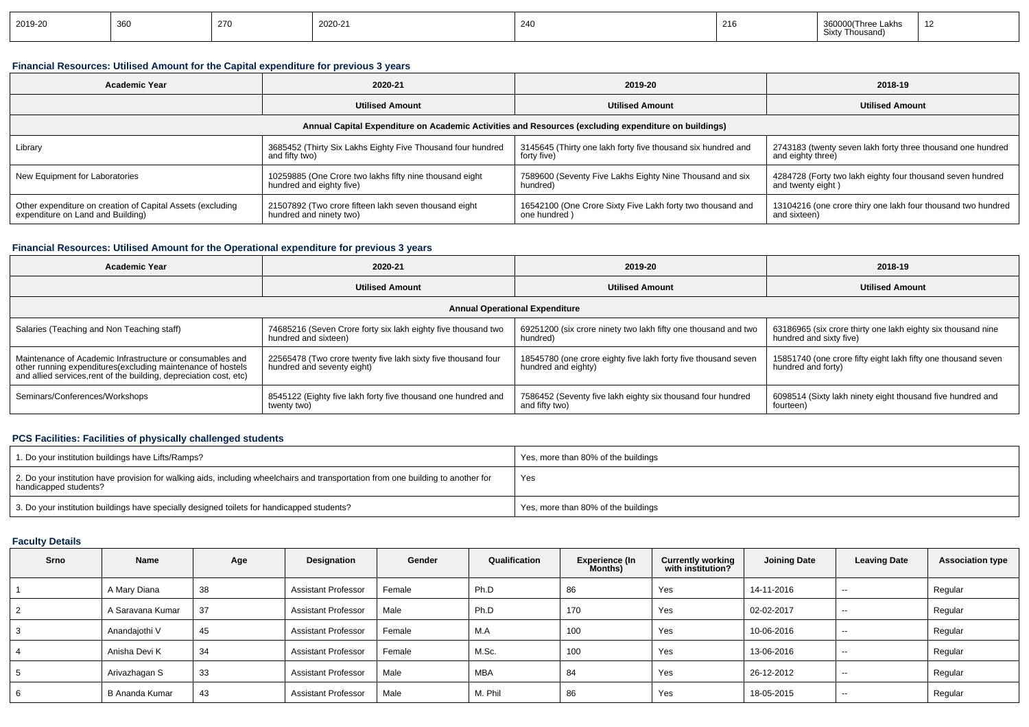| 2019-20 | 360<br>∪∪ບ | -270 | 2020-21 | 240 | 216 | .akhs<br>Sixtv<br><sup>.</sup> Thousand |  |
|---------|------------|------|---------|-----|-----|-----------------------------------------|--|
|---------|------------|------|---------|-----|-----|-----------------------------------------|--|

## **Financial Resources: Utilised Amount for the Capital expenditure for previous 3 years**

| <b>Academic Year</b>                                       | 2020-21                                                     | 2019-20                                                                                              | 2018-19                                                      |  |  |
|------------------------------------------------------------|-------------------------------------------------------------|------------------------------------------------------------------------------------------------------|--------------------------------------------------------------|--|--|
|                                                            | <b>Utilised Amount</b>                                      | <b>Utilised Amount</b>                                                                               | <b>Utilised Amount</b>                                       |  |  |
|                                                            |                                                             | Annual Capital Expenditure on Academic Activities and Resources (excluding expenditure on buildings) |                                                              |  |  |
| Library                                                    | 3685452 (Thirty Six Lakhs Eighty Five Thousand four hundred | 3145645 (Thirty one lakh forty five thousand six hundred and                                         | 2743183 (twenty seven lakh forty three thousand one hundred  |  |  |
|                                                            | and fifty two)                                              | forty five)                                                                                          | and eighty three)                                            |  |  |
| New Equipment for Laboratories                             | 10259885 (One Crore two lakhs fifty nine thousand eight     | 7589600 (Seventy Five Lakhs Eighty Nine Thousand and six                                             | 4284728 (Forty two lakh eighty four thousand seven hundred   |  |  |
|                                                            | hundred and eighty five)                                    | hundred)                                                                                             | and twenty eight)                                            |  |  |
| Other expenditure on creation of Capital Assets (excluding | 21507892 (Two crore fifteen lakh seven thousand eight       | 16542100 (One Crore Sixty Five Lakh forty two thousand and                                           | 13104216 (one crore thiry one lakh four thousand two hundred |  |  |
| expenditure on Land and Building)                          | hundred and ninety two)                                     | one hundred)                                                                                         | and sixteen)                                                 |  |  |

## **Financial Resources: Utilised Amount for the Operational expenditure for previous 3 years**

| Academic Year                                                                                                                                                                                   | 2020-21                                                                                     | 2019-20                                                                               | 2018-19                                                                                 |  |
|-------------------------------------------------------------------------------------------------------------------------------------------------------------------------------------------------|---------------------------------------------------------------------------------------------|---------------------------------------------------------------------------------------|-----------------------------------------------------------------------------------------|--|
|                                                                                                                                                                                                 | <b>Utilised Amount</b>                                                                      | <b>Utilised Amount</b>                                                                | <b>Utilised Amount</b>                                                                  |  |
|                                                                                                                                                                                                 |                                                                                             | <b>Annual Operational Expenditure</b>                                                 |                                                                                         |  |
| Salaries (Teaching and Non Teaching staff)                                                                                                                                                      | 74685216 (Seven Crore forty six lakh eighty five thousand two<br>hundred and sixteen)       | 69251200 (six crore ninety two lakh fifty one thousand and two<br>hundred)            | 63186965 (six crore thirty one lakh eighty six thousand nine<br>hundred and sixty five) |  |
| Maintenance of Academic Infrastructure or consumables and<br>other running expenditures (excluding maintenance of hostels<br>and allied services, rent of the building, depreciation cost, etc) | 22565478 (Two crore twenty five lakh sixty five thousand four<br>hundred and seventy eight) | 18545780 (one crore eighty five lakh forty five thousand seven<br>hundred and eighty) | 15851740 (one crore fifty eight lakh fifty one thousand seven<br>hundred and forty)     |  |
| Seminars/Conferences/Workshops                                                                                                                                                                  | 8545122 (Eighty five lakh forty five thousand one hundred and<br>twenty two)                | 7586452 (Seventy five lakh eighty six thousand four hundred<br>and fifty two)         | 6098514 (Sixty lakh ninety eight thousand five hundred and<br>fourteen)                 |  |

## **PCS Facilities: Facilities of physically challenged students**

| 1. Do your institution buildings have Lifts/Ramps?                                                                                                         | Yes, more than 80% of the buildings |
|------------------------------------------------------------------------------------------------------------------------------------------------------------|-------------------------------------|
| 2. Do your institution have provision for walking aids, including wheelchairs and transportation from one building to another for<br>handicapped students? | Yes                                 |
| 3. Do your institution buildings have specially designed toilets for handicapped students?                                                                 | Yes, more than 80% of the buildings |

# **Faculty Details**

| Srno | Name             | Age | Designation                | Gender | Qualification | Experience (In<br>Months) | <b>Currently working</b><br>with institution? | <b>Joining Date</b> | <b>Leaving Date</b>      | <b>Association type</b> |
|------|------------------|-----|----------------------------|--------|---------------|---------------------------|-----------------------------------------------|---------------------|--------------------------|-------------------------|
|      | A Mary Diana     | 38  | <b>Assistant Professor</b> | Female | Ph.D          | 86                        | Yes                                           | 14-11-2016          | $-$                      | Regular                 |
|      | A Saravana Kumar | 37  | <b>Assistant Professor</b> | Male   | Ph.D          | 170                       | Yes                                           | 02-02-2017          | $\sim$ $\sim$            | Regular                 |
|      | Anandajothi V    | 45  | <b>Assistant Professor</b> | Female | M.A           | 100                       | Yes                                           | 10-06-2016          | $- -$                    | Regular                 |
|      | Anisha Devi K    | 34  | <b>Assistant Professor</b> | Female | M.Sc.         | 100                       | Yes                                           | 13-06-2016          | $ \sim$                  | Regular                 |
|      | Arivazhagan S    | 33  | <b>Assistant Professor</b> | Male   | <b>MBA</b>    | 84                        | Yes                                           | 26-12-2012          | $\overline{\phantom{a}}$ | Regular                 |
|      | B Ananda Kumar   | 43  | <b>Assistant Professor</b> | Male   | M. Phil       | 86                        | Yes                                           | 18-05-2015          | $- -$                    | Regular                 |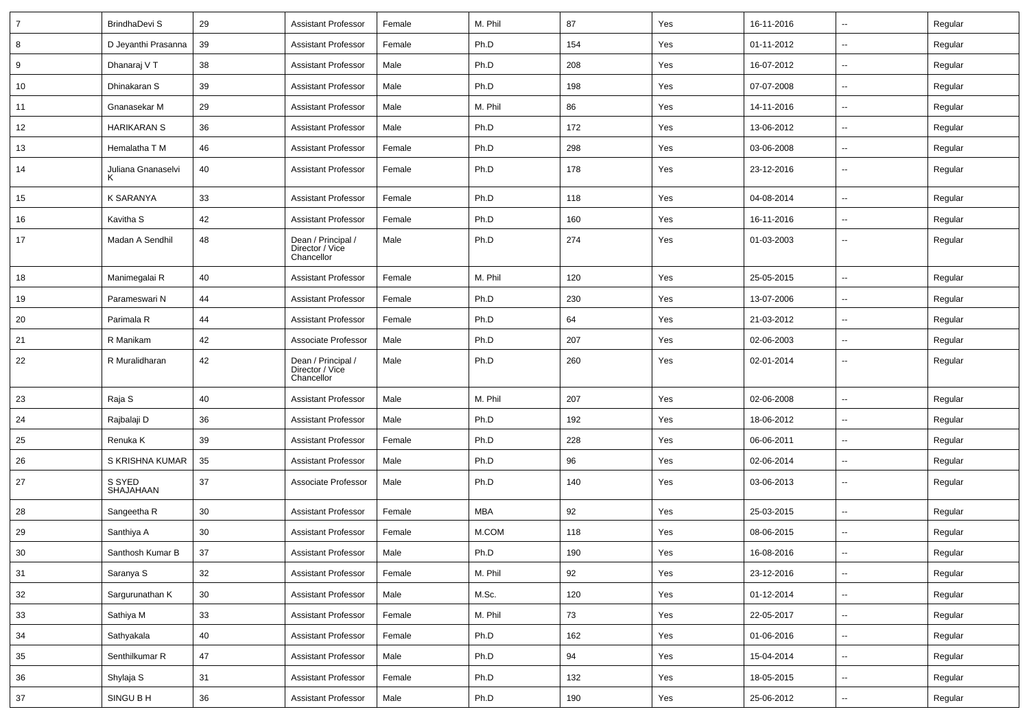| $\overline{7}$ | <b>BrindhaDevi S</b> | 29 | <b>Assistant Professor</b>                          | Female | M. Phil    | 87  | Yes | 16-11-2016 | $\overline{\phantom{a}}$ | Regular |
|----------------|----------------------|----|-----------------------------------------------------|--------|------------|-----|-----|------------|--------------------------|---------|
| 8              | D Jeyanthi Prasanna  | 39 | <b>Assistant Professor</b>                          | Female | Ph.D       | 154 | Yes | 01-11-2012 | $\sim$                   | Regular |
| 9              | Dhanaraj V T         | 38 | <b>Assistant Professor</b>                          | Male   | Ph.D       | 208 | Yes | 16-07-2012 | $\overline{\phantom{a}}$ | Regular |
| 10             | Dhinakaran S         | 39 | <b>Assistant Professor</b>                          | Male   | Ph.D       | 198 | Yes | 07-07-2008 | $\overline{\phantom{a}}$ | Regular |
| 11             | Gnanasekar M         | 29 | <b>Assistant Professor</b>                          | Male   | M. Phil    | 86  | Yes | 14-11-2016 | $\overline{\phantom{a}}$ | Regular |
| 12             | <b>HARIKARAN S</b>   | 36 | <b>Assistant Professor</b>                          | Male   | Ph.D       | 172 | Yes | 13-06-2012 | $\overline{\phantom{a}}$ | Regular |
| 13             | Hemalatha T M        | 46 | <b>Assistant Professor</b>                          | Female | Ph.D       | 298 | Yes | 03-06-2008 | $\overline{\phantom{a}}$ | Regular |
| 14             | Juliana Gnanaselvi   | 40 | Assistant Professor                                 | Female | Ph.D       | 178 | Yes | 23-12-2016 | $\overline{\phantom{a}}$ | Regular |
| 15             | K SARANYA            | 33 | Assistant Professor                                 | Female | Ph.D       | 118 | Yes | 04-08-2014 | $\sim$                   | Regular |
| 16             | Kavitha S            | 42 | <b>Assistant Professor</b>                          | Female | Ph.D       | 160 | Yes | 16-11-2016 | $\overline{\phantom{a}}$ | Regular |
| 17             | Madan A Sendhil      | 48 | Dean / Principal /<br>Director / Vice<br>Chancellor | Male   | Ph.D       | 274 | Yes | 01-03-2003 | $\overline{\phantom{a}}$ | Regular |
| 18             | Manimegalai R        | 40 | <b>Assistant Professor</b>                          | Female | M. Phil    | 120 | Yes | 25-05-2015 | $\overline{\phantom{a}}$ | Regular |
| 19             | Parameswari N        | 44 | Assistant Professor                                 | Female | Ph.D       | 230 | Yes | 13-07-2006 | $\overline{\phantom{a}}$ | Regular |
| 20             | Parimala R           | 44 | <b>Assistant Professor</b>                          | Female | Ph.D       | 64  | Yes | 21-03-2012 | $\overline{\phantom{a}}$ | Regular |
| 21             | R Manikam            | 42 | Associate Professor                                 | Male   | Ph.D       | 207 | Yes | 02-06-2003 | $\overline{\phantom{a}}$ | Regular |
| 22             | R Muralidharan       | 42 | Dean / Principal /<br>Director / Vice<br>Chancellor | Male   | Ph.D       | 260 | Yes | 02-01-2014 | $\overline{\phantom{a}}$ | Regular |
| 23             | Raja S               | 40 | <b>Assistant Professor</b>                          | Male   | M. Phil    | 207 | Yes | 02-06-2008 | $\overline{\phantom{a}}$ | Regular |
| 24             | Rajbalaji D          | 36 | <b>Assistant Professor</b>                          | Male   | Ph.D       | 192 | Yes | 18-06-2012 | $\overline{\phantom{a}}$ | Regular |
| 25             | Renuka K             | 39 | <b>Assistant Professor</b>                          | Female | Ph.D       | 228 | Yes | 06-06-2011 | $\sim$                   | Regular |
| 26             | S KRISHNA KUMAR      | 35 | <b>Assistant Professor</b>                          | Male   | Ph.D       | 96  | Yes | 02-06-2014 | $\overline{\phantom{a}}$ | Regular |
| 27             | S SYED<br>SHAJAHAAN  | 37 | Associate Professor                                 | Male   | Ph.D       | 140 | Yes | 03-06-2013 | $\overline{\phantom{a}}$ | Regular |
| 28             | Sangeetha R          | 30 | <b>Assistant Professor</b>                          | Female | <b>MBA</b> | 92  | Yes | 25-03-2015 | $\overline{\phantom{a}}$ | Regular |
| 29             | Santhiya A           | 30 | Assistant Professor                                 | Female | M.COM      | 118 | Yes | 08-06-2015 | $\overline{\phantom{a}}$ | Regular |
| 30             | Santhosh Kumar B     | 37 | <b>Assistant Professor</b>                          | Male   | Ph.D       | 190 | Yes | 16-08-2016 | $\overline{\phantom{a}}$ | Regular |
| 31             | Saranya S            | 32 | <b>Assistant Professor</b>                          | Female | M. Phil    | 92  | Yes | 23-12-2016 | $\overline{\phantom{a}}$ | Regular |
| $32\,$         | Sargurunathan K      | 30 | <b>Assistant Professor</b>                          | Male   | M.Sc.      | 120 | Yes | 01-12-2014 | $\overline{\phantom{a}}$ | Regular |
| 33             | Sathiya M            | 33 | <b>Assistant Professor</b>                          | Female | M. Phil    | 73  | Yes | 22-05-2017 | $\sim$                   | Regular |
| 34             | Sathyakala           | 40 | <b>Assistant Professor</b>                          | Female | Ph.D       | 162 | Yes | 01-06-2016 | $\overline{\phantom{a}}$ | Regular |
| $35\,$         | Senthilkumar R       | 47 | <b>Assistant Professor</b>                          | Male   | Ph.D       | 94  | Yes | 15-04-2014 | $\overline{\phantom{a}}$ | Regular |
| 36             | Shylaja S            | 31 | <b>Assistant Professor</b>                          | Female | Ph.D       | 132 | Yes | 18-05-2015 | $\overline{\phantom{a}}$ | Regular |
| 37             | SINGU B H            | 36 | <b>Assistant Professor</b>                          | Male   | Ph.D       | 190 | Yes | 25-06-2012 | ۰.                       | Regular |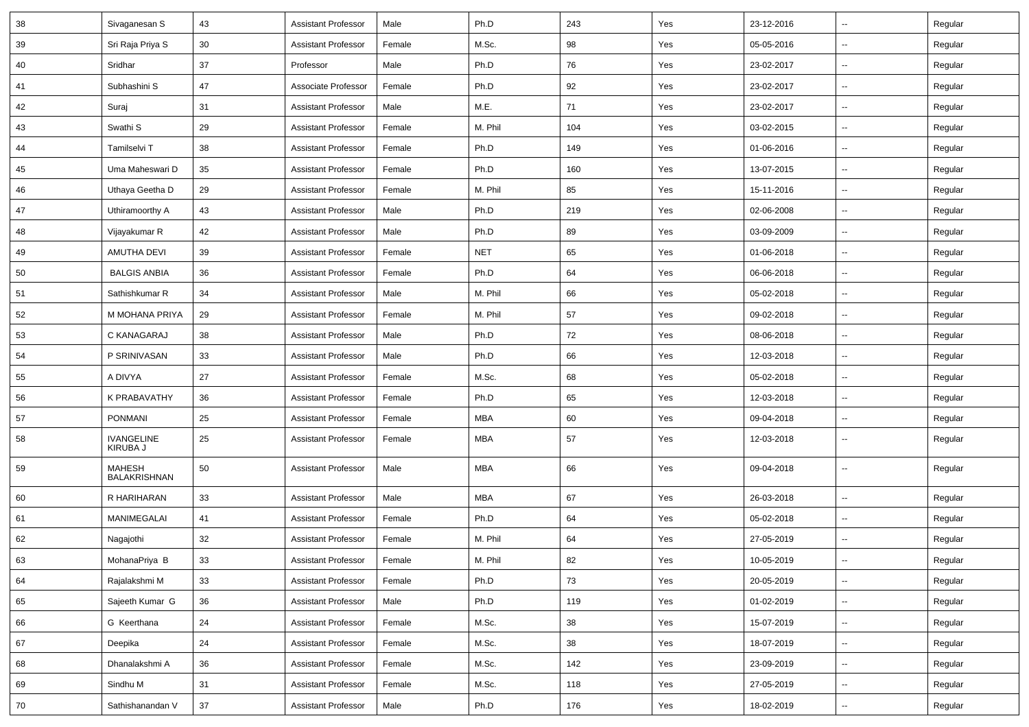| 38 | Sivaganesan S          | 43              | <b>Assistant Professor</b> | Male   | Ph.D       | 243 | Yes | 23-12-2016 | $\sim$                   | Regular |
|----|------------------------|-----------------|----------------------------|--------|------------|-----|-----|------------|--------------------------|---------|
| 39 | Sri Raja Priya S       | 30 <sup>°</sup> | <b>Assistant Professor</b> | Female | M.Sc.      | 98  | Yes | 05-05-2016 | $\sim$                   | Regular |
| 40 | Sridhar                | 37              | Professor                  | Male   | Ph.D       | 76  | Yes | 23-02-2017 | $\overline{\phantom{a}}$ | Regular |
| 41 | Subhashini S           | 47              | Associate Professor        | Female | Ph.D       | 92  | Yes | 23-02-2017 | $\overline{\phantom{a}}$ | Regular |
| 42 | Suraj                  | 31              | <b>Assistant Professor</b> | Male   | M.E.       | 71  | Yes | 23-02-2017 | $\sim$                   | Regular |
| 43 | Swathi <sub>S</sub>    | 29              | <b>Assistant Professor</b> | Female | M. Phil    | 104 | Yes | 03-02-2015 | $\sim$                   | Regular |
| 44 | Tamilselvi T           | 38              | <b>Assistant Professor</b> | Female | Ph.D       | 149 | Yes | 01-06-2016 | $\sim$                   | Regular |
| 45 | Uma Maheswari D        | 35              | <b>Assistant Professor</b> | Female | Ph.D       | 160 | Yes | 13-07-2015 | $\sim$                   | Regular |
| 46 | Uthaya Geetha D        | 29              | <b>Assistant Professor</b> | Female | M. Phil    | 85  | Yes | 15-11-2016 | $\sim$                   | Regular |
| 47 | Uthiramoorthy A        | 43              | <b>Assistant Professor</b> | Male   | Ph.D       | 219 | Yes | 02-06-2008 |                          | Regular |
| 48 | Vijayakumar R          | 42              | <b>Assistant Professor</b> | Male   | Ph.D       | 89  | Yes | 03-09-2009 | $\sim$                   | Regular |
| 49 | AMUTHA DEVI            | 39              | <b>Assistant Professor</b> | Female | <b>NET</b> | 65  | Yes | 01-06-2018 | $\sim$                   | Regular |
| 50 | <b>BALGIS ANBIA</b>    | 36              | <b>Assistant Professor</b> | Female | Ph.D       | 64  | Yes | 06-06-2018 | $\sim$                   | Regular |
| 51 | Sathishkumar R         | 34              | <b>Assistant Professor</b> | Male   | M. Phil    | 66  | Yes | 05-02-2018 | $\sim$                   | Regular |
| 52 | M MOHANA PRIYA         | 29              | <b>Assistant Professor</b> | Female | M. Phil    | 57  | Yes | 09-02-2018 | $\overline{\phantom{a}}$ | Regular |
| 53 | C KANAGARAJ            | 38              | <b>Assistant Professor</b> | Male   | Ph.D       | 72  | Yes | 08-06-2018 | $\overline{\phantom{a}}$ | Regular |
| 54 | P SRINIVASAN           | 33              | <b>Assistant Professor</b> | Male   | Ph.D       | 66  | Yes | 12-03-2018 | $\sim$                   | Regular |
| 55 | A DIVYA                | 27              | <b>Assistant Professor</b> | Female | M.Sc.      | 68  | Yes | 05-02-2018 | $\sim$                   | Regular |
| 56 | K PRABAVATHY           | 36              | <b>Assistant Professor</b> | Female | Ph.D       | 65  | Yes | 12-03-2018 | $\sim$                   | Regular |
| 57 | <b>PONMANI</b>         | 25              | <b>Assistant Professor</b> | Female | MBA        | 60  | Yes | 09-04-2018 | $\sim$                   | Regular |
| 58 | IVANGELINE<br>KIRUBA J | 25              | <b>Assistant Professor</b> | Female | <b>MBA</b> | 57  | Yes | 12-03-2018 | $\sim$                   | Regular |
| 59 | MAHESH<br>BALAKRISHNAN | 50              | <b>Assistant Professor</b> | Male   | <b>MBA</b> | 66  | Yes | 09-04-2018 | $\overline{\phantom{a}}$ | Regular |
| 60 | R HARIHARAN            | 33              | <b>Assistant Professor</b> | Male   | <b>MBA</b> | 67  | Yes | 26-03-2018 | $\sim$                   | Regular |
| 61 | MANIMEGALAI            | 41              | <b>Assistant Professor</b> | Female | Ph.D       | 64  | Yes | 05-02-2018 |                          | Regular |
| 62 | Nagajothi              | 32              | <b>Assistant Professor</b> | Female | M. Phil    | 64  | Yes | 27-05-2019 | $\overline{\phantom{a}}$ | Regular |
| 63 | MohanaPriya B          | 33              | Assistant Professor        | Female | M. Phil    | 82  | Yes | 10-05-2019 |                          | Regular |
| 64 | Rajalakshmi M          | 33              | <b>Assistant Professor</b> | Female | Ph.D       | 73  | Yes | 20-05-2019 | $\sim$                   | Regular |
| 65 | Sajeeth Kumar G        | 36              | <b>Assistant Professor</b> | Male   | Ph.D       | 119 | Yes | 01-02-2019 | $\sim$                   | Regular |
| 66 | G Keerthana            | 24              | <b>Assistant Professor</b> | Female | M.Sc.      | 38  | Yes | 15-07-2019 | $\sim$                   | Regular |
| 67 | Deepika                | 24              | Assistant Professor        | Female | M.Sc.      | 38  | Yes | 18-07-2019 | $\sim$                   | Regular |
| 68 | Dhanalakshmi A         | 36              | <b>Assistant Professor</b> | Female | M.Sc.      | 142 | Yes | 23-09-2019 | $\sim$                   | Regular |
| 69 | Sindhu M               | 31              | <b>Assistant Professor</b> | Female | M.Sc.      | 118 | Yes | 27-05-2019 | $\sim$                   | Regular |
| 70 | Sathishanandan V       | 37              | <b>Assistant Professor</b> | Male   | Ph.D       | 176 | Yes | 18-02-2019 | $\sim$                   | Regular |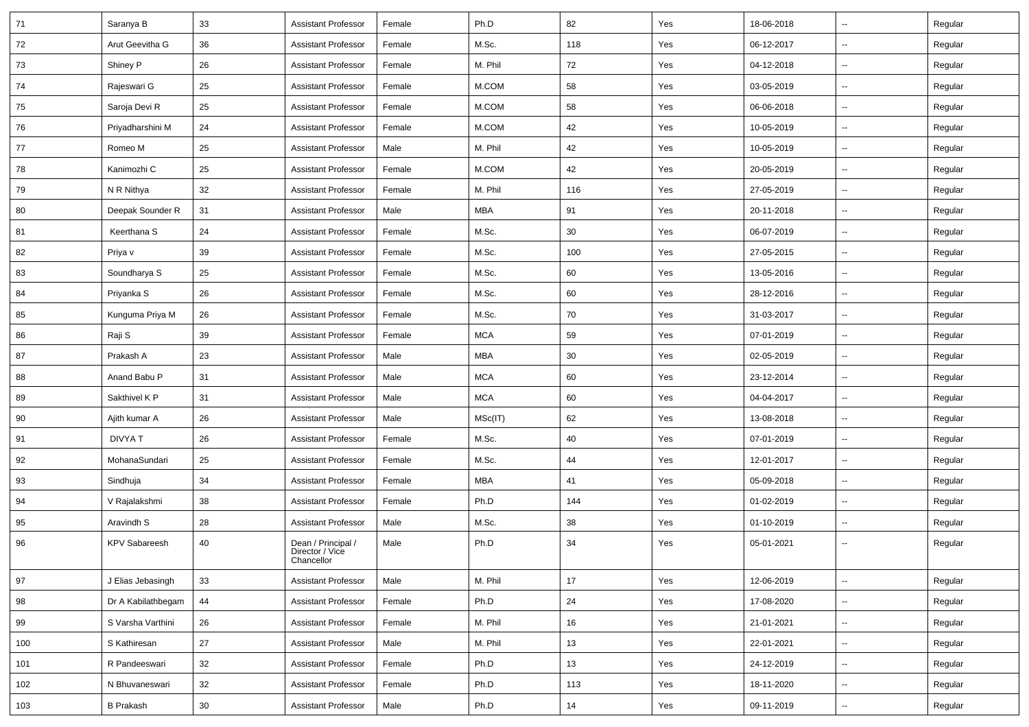| 71  | Saranya B            | 33 | <b>Assistant Professor</b>                          | Female | Ph.D       | 82  | Yes | 18-06-2018 | $\overline{\phantom{a}}$ | Regular |
|-----|----------------------|----|-----------------------------------------------------|--------|------------|-----|-----|------------|--------------------------|---------|
| 72  | Arut Geevitha G      | 36 | <b>Assistant Professor</b>                          | Female | M.Sc.      | 118 | Yes | 06-12-2017 | ⊶.                       | Regular |
| 73  | Shiney P             | 26 | <b>Assistant Professor</b>                          | Female | M. Phil    | 72  | Yes | 04-12-2018 | $\overline{\phantom{a}}$ | Regular |
| 74  | Rajeswari G          | 25 | <b>Assistant Professor</b>                          | Female | M.COM      | 58  | Yes | 03-05-2019 | Ξ.                       | Regular |
| 75  | Saroja Devi R        | 25 | <b>Assistant Professor</b>                          | Female | M.COM      | 58  | Yes | 06-06-2018 | --                       | Regular |
| 76  | Priyadharshini M     | 24 | <b>Assistant Professor</b>                          | Female | M.COM      | 42  | Yes | 10-05-2019 | --                       | Regular |
| 77  | Romeo M              | 25 | <b>Assistant Professor</b>                          | Male   | M. Phil    | 42  | Yes | 10-05-2019 | Ξ.                       | Regular |
| 78  | Kanimozhi C          | 25 | <b>Assistant Professor</b>                          | Female | M.COM      | 42  | Yes | 20-05-2019 | $\overline{\phantom{a}}$ | Regular |
| 79  | N R Nithya           | 32 | <b>Assistant Professor</b>                          | Female | M. Phil    | 116 | Yes | 27-05-2019 | ⊶.                       | Regular |
| 80  | Deepak Sounder R     | 31 | <b>Assistant Professor</b>                          | Male   | <b>MBA</b> | 91  | Yes | 20-11-2018 | $\overline{\phantom{a}}$ | Regular |
| 81  | Keerthana S          | 24 | <b>Assistant Professor</b>                          | Female | M.Sc.      | 30  | Yes | 06-07-2019 | $\overline{\phantom{a}}$ | Regular |
| 82  | Priya v              | 39 | <b>Assistant Professor</b>                          | Female | M.Sc.      | 100 | Yes | 27-05-2015 | -−                       | Regular |
| 83  | Soundharya S         | 25 | <b>Assistant Professor</b>                          | Female | M.Sc.      | 60  | Yes | 13-05-2016 | Ξ.                       | Regular |
| 84  | Priyanka S           | 26 | <b>Assistant Professor</b>                          | Female | M.Sc.      | 60  | Yes | 28-12-2016 | $\overline{\phantom{a}}$ | Regular |
| 85  | Kunguma Priya M      | 26 | <b>Assistant Professor</b>                          | Female | M.Sc.      | 70  | Yes | 31-03-2017 | ⊶.                       | Regular |
| 86  | Raji S               | 39 | <b>Assistant Professor</b>                          | Female | <b>MCA</b> | 59  | Yes | 07-01-2019 | Щ,                       | Regular |
| 87  | Prakash A            | 23 | <b>Assistant Professor</b>                          | Male   | MBA        | 30  | Yes | 02-05-2019 | $\overline{\phantom{a}}$ | Regular |
| 88  | Anand Babu P         | 31 | <b>Assistant Professor</b>                          | Male   | <b>MCA</b> | 60  | Yes | 23-12-2014 | --                       | Regular |
| 89  | Sakthivel K P        | 31 | <b>Assistant Professor</b>                          | Male   | <b>MCA</b> | 60  | Yes | 04-04-2017 | Ξ.                       | Regular |
| 90  | Ajith kumar A        | 26 | <b>Assistant Professor</b>                          | Male   | MSc(IT)    | 62  | Yes | 13-08-2018 | $\overline{\phantom{a}}$ | Regular |
| 91  | <b>DIVYAT</b>        | 26 | <b>Assistant Professor</b>                          | Female | M.Sc.      | 40  | Yes | 07-01-2019 | ⊷.                       | Regular |
| 92  | MohanaSundari        | 25 | <b>Assistant Professor</b>                          | Female | M.Sc.      | 44  | Yes | 12-01-2017 | $\overline{\phantom{a}}$ | Regular |
| 93  | Sindhuja             | 34 | <b>Assistant Professor</b>                          | Female | MBA        | 41  | Yes | 05-09-2018 | $\overline{\phantom{a}}$ | Regular |
| 94  | V Rajalakshmi        | 38 | <b>Assistant Professor</b>                          | Female | Ph.D       | 144 | Yes | 01-02-2019 | --                       | Regular |
| 95  | Aravindh S           | 28 | <b>Assistant Professor</b>                          | Male   | M.Sc.      | 38  | Yes | 01-10-2019 | Ξ.                       | Regular |
| 96  | <b>KPV Sabareesh</b> | 40 | Dean / Principal /<br>Director / Vice<br>Chancellor | Male   | Ph.D       | 34  | Yes | 05-01-2021 | --                       | Regular |
| 97  | J Elias Jebasingh    | 33 | <b>Assistant Professor</b>                          | Male   | M. Phil    | 17  | Yes | 12-06-2019 | Щ,                       | Regular |
| 98  | Dr A Kabilathbegam   | 44 | <b>Assistant Professor</b>                          | Female | Ph.D       | 24  | Yes | 17-08-2020 | $\overline{\phantom{a}}$ | Regular |
| 99  | S Varsha Varthini    | 26 | <b>Assistant Professor</b>                          | Female | M. Phil    | 16  | Yes | 21-01-2021 | $\sim$                   | Regular |
| 100 | S Kathiresan         | 27 | <b>Assistant Professor</b>                          | Male   | M. Phil    | 13  | Yes | 22-01-2021 | Щ,                       | Regular |
| 101 | R Pandeeswari        | 32 | <b>Assistant Professor</b>                          | Female | Ph.D       | 13  | Yes | 24-12-2019 | $\overline{\phantom{a}}$ | Regular |
| 102 | N Bhuvaneswari       | 32 | <b>Assistant Professor</b>                          | Female | Ph.D       | 113 | Yes | 18-11-2020 | --                       | Regular |
| 103 | <b>B</b> Prakash     | 30 | <b>Assistant Professor</b>                          | Male   | Ph.D       | 14  | Yes | 09-11-2019 | $\sim$                   | Regular |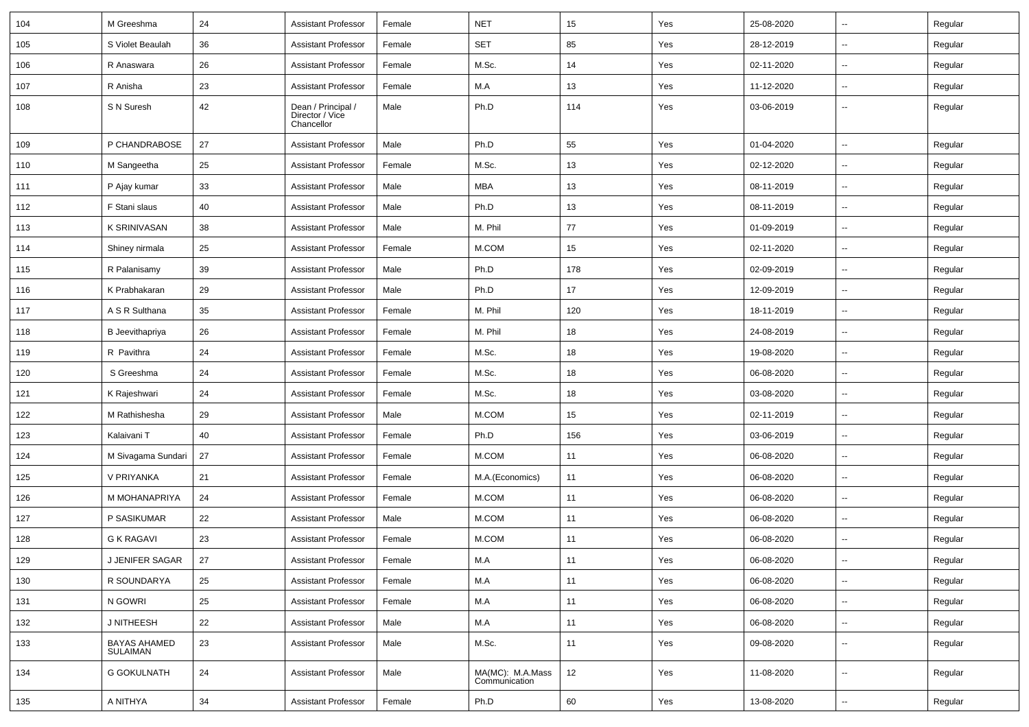| 104 | M Greeshma                      | 24 | <b>Assistant Professor</b>                          | Female | <b>NET</b>                        | 15  | Yes | 25-08-2020 | $\sim$                   | Regular |
|-----|---------------------------------|----|-----------------------------------------------------|--------|-----------------------------------|-----|-----|------------|--------------------------|---------|
| 105 | S Violet Beaulah                | 36 | <b>Assistant Professor</b>                          | Female | SET                               | 85  | Yes | 28-12-2019 | $\sim$                   | Regular |
| 106 | R Anaswara                      | 26 | <b>Assistant Professor</b>                          | Female | M.Sc.                             | 14  | Yes | 02-11-2020 | $\sim$                   | Regular |
| 107 | R Anisha                        | 23 | <b>Assistant Professor</b>                          | Female | M.A                               | 13  | Yes | 11-12-2020 | Ξ.                       | Regular |
| 108 | S N Suresh                      | 42 | Dean / Principal /<br>Director / Vice<br>Chancellor | Male   | Ph.D                              | 114 | Yes | 03-06-2019 | ۰.                       | Regular |
| 109 | P CHANDRABOSE                   | 27 | <b>Assistant Professor</b>                          | Male   | Ph.D                              | 55  | Yes | 01-04-2020 | $\sim$                   | Regular |
| 110 | M Sangeetha                     | 25 | <b>Assistant Professor</b>                          | Female | M.Sc.                             | 13  | Yes | 02-12-2020 | $\overline{a}$           | Regular |
| 111 | P Ajay kumar                    | 33 | <b>Assistant Professor</b>                          | Male   | MBA                               | 13  | Yes | 08-11-2019 |                          | Regular |
| 112 | F Stani slaus                   | 40 | <b>Assistant Professor</b>                          | Male   | Ph.D                              | 13  | Yes | 08-11-2019 | $\sim$                   | Regular |
| 113 | <b>K SRINIVASAN</b>             | 38 | <b>Assistant Professor</b>                          | Male   | M. Phil                           | 77  | Yes | 01-09-2019 | $\sim$                   | Regular |
| 114 | Shiney nirmala                  | 25 | <b>Assistant Professor</b>                          | Female | M.COM                             | 15  | Yes | 02-11-2020 | $\sim$                   | Regular |
| 115 | R Palanisamy                    | 39 | <b>Assistant Professor</b>                          | Male   | Ph.D                              | 178 | Yes | 02-09-2019 | $\sim$                   | Regular |
| 116 | K Prabhakaran                   | 29 | <b>Assistant Professor</b>                          | Male   | Ph.D                              | 17  | Yes | 12-09-2019 | $\overline{a}$           | Regular |
| 117 | A S R Sulthana                  | 35 | <b>Assistant Professor</b>                          | Female | M. Phil                           | 120 | Yes | 18-11-2019 | $\sim$                   | Regular |
| 118 | <b>B</b> Jeevithapriya          | 26 | <b>Assistant Professor</b>                          | Female | M. Phil                           | 18  | Yes | 24-08-2019 | $\sim$                   | Regular |
| 119 | R Pavithra                      | 24 | <b>Assistant Professor</b>                          | Female | M.Sc.                             | 18  | Yes | 19-08-2020 | $\sim$                   | Regular |
| 120 | S Greeshma                      | 24 | <b>Assistant Professor</b>                          | Female | M.Sc.                             | 18  | Yes | 06-08-2020 | --                       | Regular |
| 121 | K Rajeshwari                    | 24 | <b>Assistant Professor</b>                          | Female | M.Sc.                             | 18  | Yes | 03-08-2020 | $\sim$                   | Regular |
| 122 | M Rathishesha                   | 29 | <b>Assistant Professor</b>                          | Male   | M.COM                             | 15  | Yes | 02-11-2019 |                          | Regular |
| 123 | Kalaivani T                     | 40 | <b>Assistant Professor</b>                          | Female | Ph.D                              | 156 | Yes | 03-06-2019 | $\overline{\phantom{a}}$ | Regular |
| 124 | M Sivagama Sundari              | 27 | <b>Assistant Professor</b>                          | Female | M.COM                             | 11  | Yes | 06-08-2020 | $\sim$                   | Regular |
| 125 | V PRIYANKA                      | 21 | <b>Assistant Professor</b>                          | Female | M.A.(Economics)                   | 11  | Yes | 06-08-2020 | $\sim$                   | Regular |
| 126 | M MOHANAPRIYA                   | 24 | <b>Assistant Professor</b>                          | Female | M.COM                             | 11  | Yes | 06-08-2020 | $\sim$                   | Regular |
| 127 | P SASIKUMAR                     | 22 | <b>Assistant Professor</b>                          | Male   | M.COM                             | 11  | Yes | 06-08-2020 | $\sim$                   | Regular |
| 128 | G K RAGAVI                      | 23 | <b>Assistant Professor</b>                          | Female | M.COM                             | 11  | Yes | 06-08-2020 | Ξ.                       | Regular |
| 129 | J JENIFER SAGAR                 | 27 | Assistant Professor                                 | Female | ${\sf M.A}$                       | 11  | Yes | 06-08-2020 |                          | Regular |
| 130 | R SOUNDARYA                     | 25 | <b>Assistant Professor</b>                          | Female | M.A                               | 11  | Yes | 06-08-2020 | $\sim$                   | Regular |
| 131 | N GOWRI                         | 25 | <b>Assistant Professor</b>                          | Female | M.A                               | 11  | Yes | 06-08-2020 | ц.                       | Regular |
| 132 | J NITHEESH                      | 22 | <b>Assistant Professor</b>                          | Male   | M.A                               | 11  | Yes | 06-08-2020 | $\overline{\phantom{a}}$ | Regular |
| 133 | <b>BAYAS AHAMED</b><br>SULAIMAN | 23 | <b>Assistant Professor</b>                          | Male   | M.Sc.                             | 11  | Yes | 09-08-2020 | $\sim$                   | Regular |
| 134 | <b>G GOKULNATH</b>              | 24 | <b>Assistant Professor</b>                          | Male   | MA(MC): M.A.Mass<br>Communication | 12  | Yes | 11-08-2020 | $\overline{\phantom{a}}$ | Regular |
| 135 | A NITHYA                        | 34 | <b>Assistant Professor</b>                          | Female | Ph.D                              | 60  | Yes | 13-08-2020 | $\overline{\phantom{a}}$ | Regular |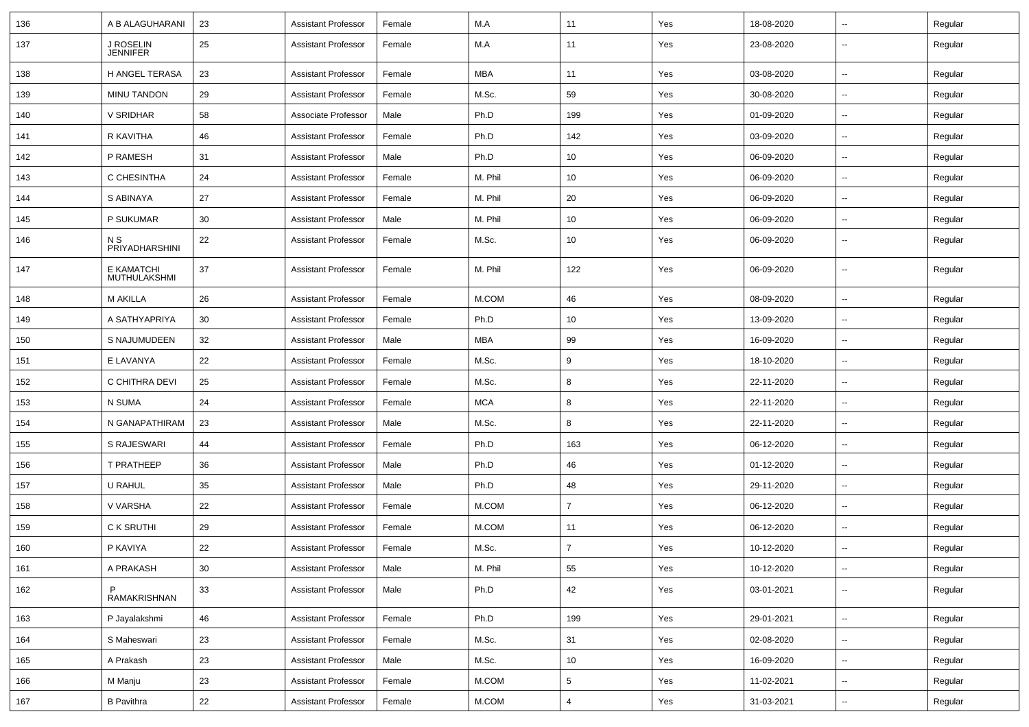| 136 | A B ALAGUHARANI              | 23 | <b>Assistant Professor</b> | Female | M.A        | 11             | Yes | 18-08-2020 | $\overline{\phantom{a}}$ | Regular |
|-----|------------------------------|----|----------------------------|--------|------------|----------------|-----|------------|--------------------------|---------|
| 137 | J ROSELIN<br><b>JENNIFER</b> | 25 | <b>Assistant Professor</b> | Female | M.A        | 11             | Yes | 23-08-2020 | --                       | Regular |
| 138 | H ANGEL TERASA               | 23 | <b>Assistant Professor</b> | Female | <b>MBA</b> | 11             | Yes | 03-08-2020 | н.                       | Regular |
| 139 | <b>MINU TANDON</b>           | 29 | <b>Assistant Professor</b> | Female | M.Sc.      | 59             | Yes | 30-08-2020 | $\overline{\phantom{a}}$ | Regular |
| 140 | V SRIDHAR                    | 58 | Associate Professor        | Male   | Ph.D       | 199            | Yes | 01-09-2020 | --                       | Regular |
| 141 | R KAVITHA                    | 46 | <b>Assistant Professor</b> | Female | Ph.D       | 142            | Yes | 03-09-2020 | --                       | Regular |
| 142 | P RAMESH                     | 31 | <b>Assistant Professor</b> | Male   | Ph.D       | 10             | Yes | 06-09-2020 | $\overline{\phantom{a}}$ | Regular |
| 143 | C CHESINTHA                  | 24 | <b>Assistant Professor</b> | Female | M. Phil    | 10             | Yes | 06-09-2020 | --                       | Regular |
| 144 | S ABINAYA                    | 27 | <b>Assistant Professor</b> | Female | M. Phil    | 20             | Yes | 06-09-2020 | --                       | Regular |
| 145 | P SUKUMAR                    | 30 | <b>Assistant Professor</b> | Male   | M. Phil    | 10             | Yes | 06-09-2020 | $\overline{\phantom{a}}$ | Regular |
| 146 | N S<br>PRIYADHARSHINI        | 22 | <b>Assistant Professor</b> | Female | M.Sc.      | 10             | Yes | 06-09-2020 | --                       | Regular |
| 147 | E KAMATCHI<br>MUTHULAKSHMI   | 37 | <b>Assistant Professor</b> | Female | M. Phil    | 122            | Yes | 06-09-2020 | --                       | Regular |
| 148 | <b>M AKILLA</b>              | 26 | <b>Assistant Professor</b> | Female | M.COM      | 46             | Yes | 08-09-2020 | $\overline{a}$           | Regular |
| 149 | A SATHYAPRIYA                | 30 | <b>Assistant Professor</b> | Female | Ph.D       | 10             | Yes | 13-09-2020 | --                       | Regular |
| 150 | S NAJUMUDEEN                 | 32 | <b>Assistant Professor</b> | Male   | <b>MBA</b> | 99             | Yes | 16-09-2020 | $\sim$                   | Regular |
| 151 | E LAVANYA                    | 22 | <b>Assistant Professor</b> | Female | M.Sc.      | 9              | Yes | 18-10-2020 | ⊷.                       | Regular |
| 152 | C CHITHRA DEVI               | 25 | <b>Assistant Professor</b> | Female | M.Sc.      | 8              | Yes | 22-11-2020 | --                       | Regular |
| 153 | N SUMA                       | 24 | <b>Assistant Professor</b> | Female | <b>MCA</b> | 8              | Yes | 22-11-2020 | --                       | Regular |
| 154 | N GANAPATHIRAM               | 23 | <b>Assistant Professor</b> | Male   | M.Sc.      | 8              | Yes | 22-11-2020 | --                       | Regular |
| 155 | S RAJESWARI                  | 44 | <b>Assistant Professor</b> | Female | Ph.D       | 163            | Yes | 06-12-2020 | --                       | Regular |
| 156 | T PRATHEEP                   | 36 | <b>Assistant Professor</b> | Male   | Ph.D       | 46             | Yes | 01-12-2020 | $\overline{\phantom{a}}$ | Regular |
| 157 | U RAHUL                      | 35 | <b>Assistant Professor</b> | Male   | Ph.D       | 48             | Yes | 29-11-2020 | ⊷.                       | Regular |
| 158 | V VARSHA                     | 22 | <b>Assistant Professor</b> | Female | M.COM      | $\overline{7}$ | Yes | 06-12-2020 | --                       | Regular |
| 159 | C K SRUTHI                   | 29 | <b>Assistant Professor</b> | Female | M.COM      | 11             | Yes | 06-12-2020 | $\overline{\phantom{a}}$ | Regular |
| 160 | P KAVIYA                     | 22 | <b>Assistant Professor</b> | Female | M.Sc.      | 7              | Yes | 10-12-2020 |                          | Regular |
| 161 | A PRAKASH                    | 30 | <b>Assistant Professor</b> | Male   | M. Phil    | 55             | Yes | 10-12-2020 | Ξ.                       | Regular |
| 162 | P<br>RAMAKRISHNAN            | 33 | <b>Assistant Professor</b> | Male   | Ph.D       | 42             | Yes | 03-01-2021 | $\overline{\phantom{a}}$ | Regular |
| 163 | P Jayalakshmi                | 46 | <b>Assistant Professor</b> | Female | Ph.D       | 199            | Yes | 29-01-2021 | $\overline{\phantom{a}}$ | Regular |
| 164 | S Maheswari                  | 23 | <b>Assistant Professor</b> | Female | M.Sc.      | 31             | Yes | 02-08-2020 | $\overline{\phantom{a}}$ | Regular |
| 165 | A Prakash                    | 23 | <b>Assistant Professor</b> | Male   | M.Sc.      | 10             | Yes | 16-09-2020 | $\sim$                   | Regular |
| 166 | M Manju                      | 23 | <b>Assistant Professor</b> | Female | M.COM      | 5              | Yes | 11-02-2021 | $\sim$                   | Regular |
| 167 | <b>B</b> Pavithra            | 22 | <b>Assistant Professor</b> | Female | M.COM      | 4              | Yes | 31-03-2021 | $\sim$                   | Regular |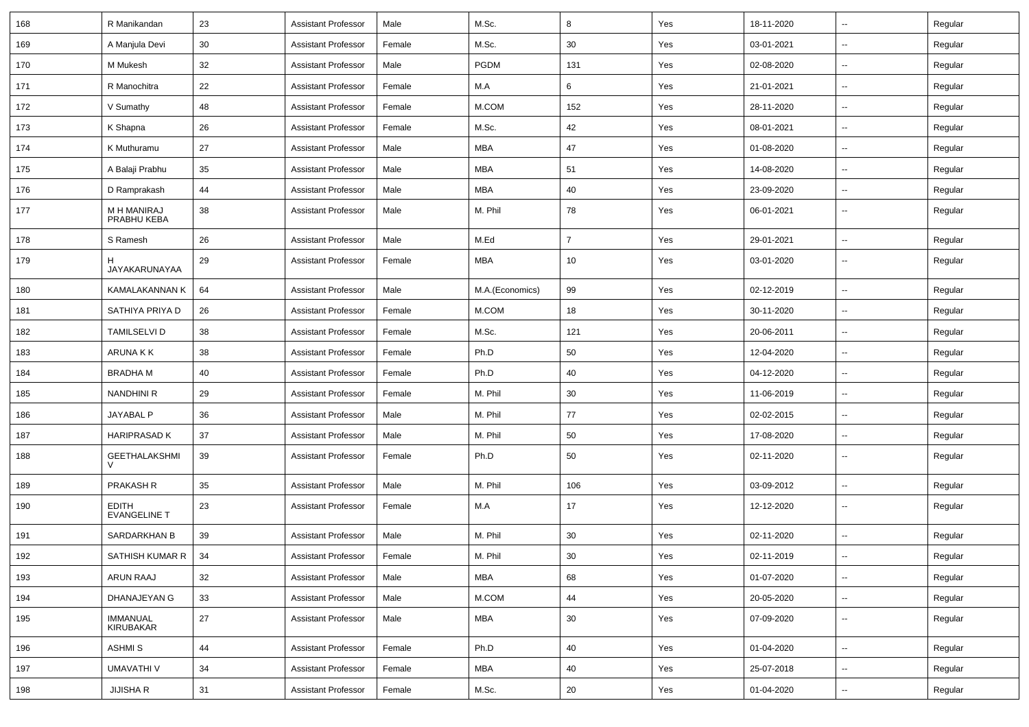| 168 | R Manikandan                        | 23 | <b>Assistant Professor</b> | Male   | M.Sc.           | 8              | Yes | 18-11-2020 | н.                       | Regular |
|-----|-------------------------------------|----|----------------------------|--------|-----------------|----------------|-----|------------|--------------------------|---------|
| 169 | A Manjula Devi                      | 30 | <b>Assistant Professor</b> | Female | M.Sc.           | 30             | Yes | 03-01-2021 | -−                       | Regular |
| 170 | M Mukesh                            | 32 | <b>Assistant Professor</b> | Male   | PGDM            | 131            | Yes | 02-08-2020 | $\overline{\phantom{a}}$ | Regular |
| 171 | R Manochitra                        | 22 | <b>Assistant Professor</b> | Female | M.A             | 6              | Yes | 21-01-2021 | --                       | Regular |
| 172 | V Sumathy                           | 48 | <b>Assistant Professor</b> | Female | M.COM           | 152            | Yes | 28-11-2020 | --                       | Regular |
| 173 | K Shapna                            | 26 | <b>Assistant Professor</b> | Female | M.Sc.           | 42             | Yes | 08-01-2021 | $\sim$                   | Regular |
| 174 | K Muthuramu                         | 27 | <b>Assistant Professor</b> | Male   | MBA             | 47             | Yes | 01-08-2020 | $\sim$                   | Regular |
| 175 | A Balaji Prabhu                     | 35 | <b>Assistant Professor</b> | Male   | <b>MBA</b>      | 51             | Yes | 14-08-2020 | -−                       | Regular |
| 176 | D Ramprakash                        | 44 | <b>Assistant Professor</b> | Male   | <b>MBA</b>      | 40             | Yes | 23-09-2020 | н.                       | Regular |
| 177 | M H MANIRAJ<br>PRABHU KEBA          | 38 | <b>Assistant Professor</b> | Male   | M. Phil         | 78             | Yes | 06-01-2021 | --                       | Regular |
| 178 | S Ramesh                            | 26 | <b>Assistant Professor</b> | Male   | M.Ed            | $\overline{7}$ | Yes | 29-01-2021 | $\overline{\phantom{a}}$ | Regular |
| 179 | JAYAKARUNAYAA                       | 29 | <b>Assistant Professor</b> | Female | <b>MBA</b>      | 10             | Yes | 03-01-2020 | --                       | Regular |
| 180 | <b>KAMALAKANNAN K</b>               | 64 | <b>Assistant Professor</b> | Male   | M.A.(Economics) | 99             | Yes | 02-12-2019 | -−                       | Regular |
| 181 | SATHIYA PRIYA D                     | 26 | <b>Assistant Professor</b> | Female | M.COM           | 18             | Yes | 30-11-2020 | Ξ.                       | Regular |
| 182 | <b>TAMILSELVI D</b>                 | 38 | <b>Assistant Professor</b> | Female | M.Sc.           | 121            | Yes | 20-06-2011 | $\sim$                   | Regular |
| 183 | ARUNA K K                           | 38 | <b>Assistant Professor</b> | Female | Ph.D            | 50             | Yes | 12-04-2020 | н.                       | Regular |
| 184 | BRADHA M                            | 40 | <b>Assistant Professor</b> | Female | Ph.D            | 40             | Yes | 04-12-2020 | -−                       | Regular |
| 185 | <b>NANDHINI R</b>                   | 29 | <b>Assistant Professor</b> | Female | M. Phil         | 30             | Yes | 11-06-2019 | н.                       | Regular |
| 186 | JAYABAL P                           | 36 | <b>Assistant Professor</b> | Male   | M. Phil         | 77             | Yes | 02-02-2015 | -−                       | Regular |
| 187 | <b>HARIPRASAD K</b>                 | 37 | <b>Assistant Professor</b> | Male   | M. Phil         | 50             | Yes | 17-08-2020 | Ξ.                       | Regular |
| 188 | <b>GEETHALAKSHMI</b>                | 39 | <b>Assistant Professor</b> | Female | Ph.D            | 50             | Yes | 02-11-2020 | н.                       | Regular |
| 189 | <b>PRAKASH R</b>                    | 35 | <b>Assistant Professor</b> | Male   | M. Phil         | 106            | Yes | 03-09-2012 | $\overline{\phantom{a}}$ | Regular |
| 190 | <b>EDITH</b><br><b>EVANGELINE T</b> | 23 | <b>Assistant Professor</b> | Female | M.A             | 17             | Yes | 12-12-2020 | $\overline{\phantom{a}}$ | Regular |
| 191 | <b>SARDARKHAN B</b>                 | 39 | <b>Assistant Professor</b> | Male   | M. Phil         | 30             | Yes | 02-11-2020 | $\overline{\phantom{a}}$ | Regular |
| 192 | SATHISH KUMAR R                     | 34 | <b>Assistant Professor</b> | Female | M. Phil         | 30             | Yes | 02-11-2019 | Щ,                       | Regular |
| 193 | ARUN RAAJ                           | 32 | <b>Assistant Professor</b> | Male   | MBA             | 68             | Yes | 01-07-2020 | Ξ.                       | Regular |
| 194 | DHANAJEYAN G                        | 33 | <b>Assistant Professor</b> | Male   | M.COM           | 44             | Yes | 20-05-2020 | ш,                       | Regular |
| 195 | IMMANUAL<br>KIRUBAKAR               | 27 | <b>Assistant Professor</b> | Male   | <b>MBA</b>      | 30             | Yes | 07-09-2020 | н.                       | Regular |
| 196 | <b>ASHMIS</b>                       | 44 | <b>Assistant Professor</b> | Female | Ph.D            | 40             | Yes | 01-04-2020 | н.                       | Regular |
| 197 | <b>UMAVATHI V</b>                   | 34 | <b>Assistant Professor</b> | Female | MBA             | 40             | Yes | 25-07-2018 | $\sim$                   | Regular |
| 198 | <b>JIJISHA R</b>                    | 31 | <b>Assistant Professor</b> | Female | M.Sc.           | 20             | Yes | 01-04-2020 | н.                       | Regular |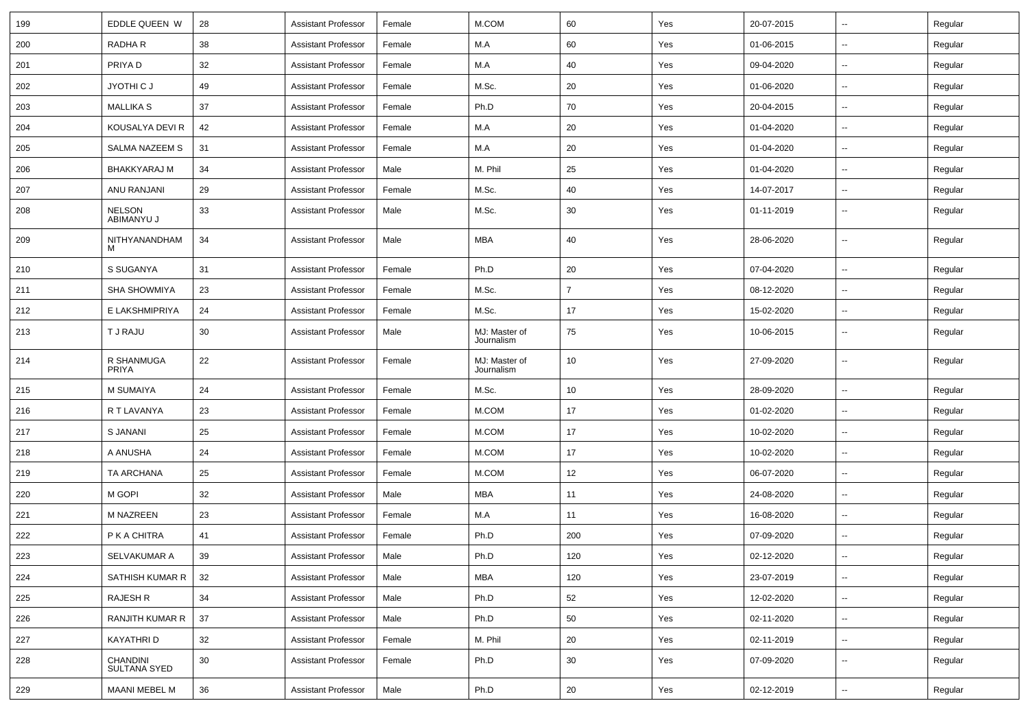| 199 | EDDLE QUEEN W                   | 28 | <b>Assistant Professor</b> | Female | M.COM                       | 60             | Yes | 20-07-2015 | $\overline{\phantom{a}}$ | Regular |
|-----|---------------------------------|----|----------------------------|--------|-----------------------------|----------------|-----|------------|--------------------------|---------|
| 200 | RADHA R                         | 38 | <b>Assistant Professor</b> | Female | M.A                         | 60             | Yes | 01-06-2015 | ⊷.                       | Regular |
| 201 | PRIYA D                         | 32 | <b>Assistant Professor</b> | Female | M.A                         | 40             | Yes | 09-04-2020 | $\overline{\phantom{a}}$ | Regular |
| 202 | JYOTHI C J                      | 49 | <b>Assistant Professor</b> | Female | M.Sc.                       | 20             | Yes | 01-06-2020 | $\overline{\phantom{a}}$ | Regular |
| 203 | <b>MALLIKA S</b>                | 37 | <b>Assistant Professor</b> | Female | Ph.D                        | 70             | Yes | 20-04-2015 | -−                       | Regular |
| 204 | KOUSALYA DEVI R                 | 42 | <b>Assistant Professor</b> | Female | M.A                         | 20             | Yes | 01-04-2020 | $\overline{\phantom{a}}$ | Regular |
| 205 | <b>SALMA NAZEEM S</b>           | 31 | <b>Assistant Professor</b> | Female | M.A                         | 20             | Yes | 01-04-2020 | ⊷.                       | Regular |
| 206 | <b>BHAKKYARAJ M</b>             | 34 | <b>Assistant Professor</b> | Male   | M. Phil                     | 25             | Yes | 01-04-2020 | ⊷.                       | Regular |
| 207 | ANU RANJANI                     | 29 | <b>Assistant Professor</b> | Female | M.Sc.                       | 40             | Yes | 14-07-2017 | $\overline{\phantom{a}}$ | Regular |
| 208 | <b>NELSON</b><br>ABIMANYU J     | 33 | <b>Assistant Professor</b> | Male   | M.Sc.                       | 30             | Yes | 01-11-2019 | $\overline{\phantom{a}}$ | Regular |
| 209 | NITHYANANDHAM<br>м              | 34 | <b>Assistant Professor</b> | Male   | <b>MBA</b>                  | 40             | Yes | 28-06-2020 | $\overline{\phantom{a}}$ | Regular |
| 210 | S SUGANYA                       | 31 | <b>Assistant Professor</b> | Female | Ph.D                        | 20             | Yes | 07-04-2020 | $\overline{\phantom{a}}$ | Regular |
| 211 | <b>SHA SHOWMIYA</b>             | 23 | <b>Assistant Professor</b> | Female | M.Sc.                       | $\overline{7}$ | Yes | 08-12-2020 | $\overline{\phantom{a}}$ | Regular |
| 212 | E LAKSHMIPRIYA                  | 24 | <b>Assistant Professor</b> | Female | M.Sc.                       | 17             | Yes | 15-02-2020 | $\sim$                   | Regular |
| 213 | T J RAJU                        | 30 | <b>Assistant Professor</b> | Male   | MJ: Master of<br>Journalism | 75             | Yes | 10-06-2015 | ⊷.                       | Regular |
| 214 | R SHANMUGA<br><b>PRIYA</b>      | 22 | <b>Assistant Professor</b> | Female | MJ: Master of<br>Journalism | 10             | Yes | 27-09-2020 | $\overline{\phantom{a}}$ | Regular |
| 215 | <b>M SUMAIYA</b>                | 24 | <b>Assistant Professor</b> | Female | M.Sc.                       | 10             | Yes | 28-09-2020 | $\overline{\phantom{a}}$ | Regular |
| 216 | R T LAVANYA                     | 23 | <b>Assistant Professor</b> | Female | M.COM                       | 17             | Yes | 01-02-2020 | ⊷.                       | Regular |
| 217 | <b>S JANANI</b>                 | 25 | <b>Assistant Professor</b> | Female | M.COM                       | 17             | Yes | 10-02-2020 | $\overline{\phantom{a}}$ | Regular |
| 218 | A ANUSHA                        | 24 | <b>Assistant Professor</b> | Female | M.COM                       | 17             | Yes | 10-02-2020 | $\overline{\phantom{a}}$ | Regular |
| 219 | TA ARCHANA                      | 25 | <b>Assistant Professor</b> | Female | M.COM                       | 12             | Yes | 06-07-2020 | $\overline{\phantom{a}}$ | Regular |
| 220 | M GOPI                          | 32 | <b>Assistant Professor</b> | Male   | <b>MBA</b>                  | 11             | Yes | 24-08-2020 | $\overline{\phantom{a}}$ | Regular |
| 221 | <b>M NAZREEN</b>                | 23 | <b>Assistant Professor</b> | Female | M.A                         | 11             | Yes | 16-08-2020 | $\overline{\phantom{a}}$ | Regular |
| 222 | P K A CHITRA                    | 41 | <b>Assistant Professor</b> | Female | Ph.D                        | 200            | Yes | 07-09-2020 | ⊷.                       | Regular |
| 223 | SELVAKUMAR A                    | 39 | <b>Assistant Professor</b> | Male   | Ph.D                        | 120            | Yes | 02-12-2020 | $\overline{\phantom{a}}$ | Regular |
| 224 | SATHISH KUMAR R                 | 32 | <b>Assistant Professor</b> | Male   | <b>MBA</b>                  | 120            | Yes | 23-07-2019 | $\overline{\phantom{a}}$ | Regular |
| 225 | <b>RAJESH R</b>                 | 34 | <b>Assistant Professor</b> | Male   | Ph.D                        | 52             | Yes | 12-02-2020 | $\sim$                   | Regular |
| 226 | RANJITH KUMAR R                 | 37 | <b>Assistant Professor</b> | Male   | Ph.D                        | 50             | Yes | 02-11-2020 | $\sim$                   | Regular |
| 227 | KAYATHRI D                      | 32 | <b>Assistant Professor</b> | Female | M. Phil                     | 20             | Yes | 02-11-2019 | $\sim$                   | Regular |
| 228 | CHANDINI<br><b>SULTANA SYED</b> | 30 | <b>Assistant Professor</b> | Female | Ph.D                        | 30             | Yes | 07-09-2020 | н.                       | Regular |
| 229 | MAANI MEBEL M                   | 36 | <b>Assistant Professor</b> | Male   | Ph.D                        | 20             | Yes | 02-12-2019 | $\sim$                   | Regular |